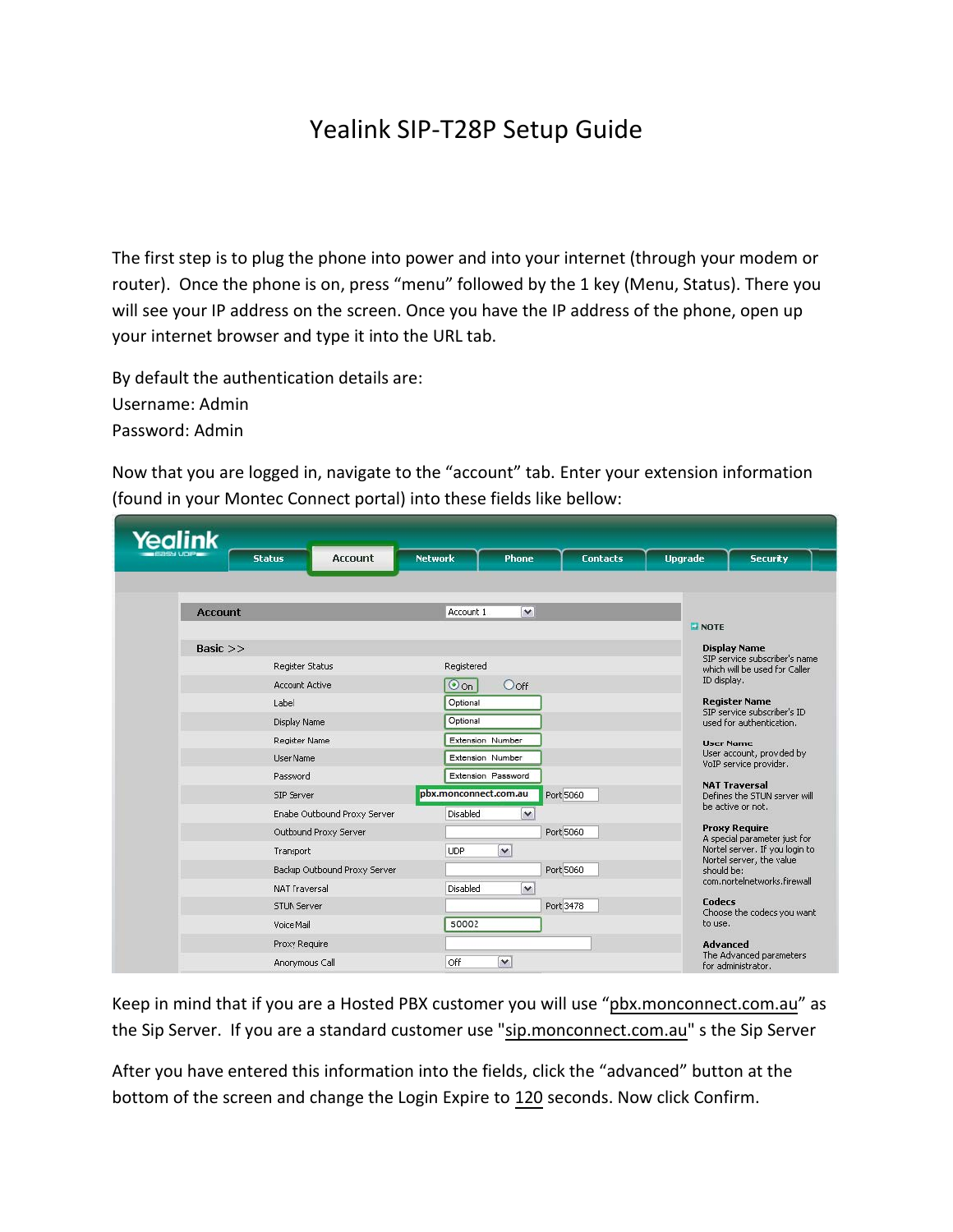## Yealink SIP-T28P Setup Guide

The first step is to plug the phone into power and into your internet (through your modem or router). Once the phone is on, press "menu" followed by the 1 key (Menu, Status). There you will see your IP address on the screen. Once you have the IP address of the phone, open up your internet browser and type it into the URL tab.

By default the authentication details are: Username: Admin Password: Admin

Now that you are logged in, navigate to the "account" tab. Enter your extension information (found in your Montec Connect portal) into these fields like bellow:

| Yealink        |                                                                    |                |                                                                                 |                           |                 |                                                                         |                                                                |  |  |
|----------------|--------------------------------------------------------------------|----------------|---------------------------------------------------------------------------------|---------------------------|-----------------|-------------------------------------------------------------------------|----------------------------------------------------------------|--|--|
|                | <b>Status</b>                                                      | <b>Account</b> | <b>Network</b>                                                                  | <b>Phone</b>              | <b>Contacts</b> | <b>Upgrade</b>                                                          | <b>Security</b>                                                |  |  |
|                |                                                                    |                |                                                                                 |                           |                 |                                                                         |                                                                |  |  |
| <b>Account</b> |                                                                    |                | Account 1                                                                       | $\mathbf{v}$              |                 |                                                                         |                                                                |  |  |
|                |                                                                    |                |                                                                                 |                           |                 | <b>EI NOTE</b>                                                          |                                                                |  |  |
| Basic $>>$     |                                                                    |                |                                                                                 |                           |                 | <b>Display Name</b><br>SIP service subscriber's name                    |                                                                |  |  |
|                | Register Status                                                    |                |                                                                                 | Registered                |                 |                                                                         | which will be used for Caller.                                 |  |  |
|                | <b>Account Active</b>                                              | $\odot$ on     | $O$ of f<br>Optional<br>Optional<br><b>Extension Number</b><br>Extension Number |                           |                 | ID display.<br><b>Register Name</b>                                     |                                                                |  |  |
|                | Label                                                              |                |                                                                                 |                           |                 |                                                                         |                                                                |  |  |
|                | <b>Display Name</b>                                                |                |                                                                                 |                           |                 | SIP service subscriber's ID<br>used for authentication.                 |                                                                |  |  |
|                | Register Name                                                      |                |                                                                                 |                           |                 | <b>User Name</b><br>User account, provided by<br>VoIP service provider. |                                                                |  |  |
|                | <b>User Name</b>                                                   |                |                                                                                 |                           |                 |                                                                         |                                                                |  |  |
|                | Password                                                           |                |                                                                                 | <b>Extension Password</b> |                 |                                                                         |                                                                |  |  |
|                | SIP Server<br>Enabe Outbound Proxy Server<br>Outbound Proxy Server |                | pbx.monconnect.com.au                                                           | Port 5060                 |                 |                                                                         | <b>NAT Traversal</b><br>Defines the STUN server will           |  |  |
|                |                                                                    |                | Disabled                                                                        | $\checkmark$              |                 |                                                                         | be active or not.                                              |  |  |
|                |                                                                    |                |                                                                                 | Port 5060                 |                 |                                                                         | <b>Proxy Require</b>                                           |  |  |
|                | Transport                                                          |                | <b>UDP</b><br>$\checkmark$                                                      |                           |                 |                                                                         | A special parameter just for<br>Nortel server. If you login to |  |  |
|                | Backup Outbound Proxy Server                                       |                |                                                                                 | Port 5060                 |                 |                                                                         | Nortel server, the value<br>should be:                         |  |  |
|                | <b>NAT Traversal</b>                                               |                | Disabled                                                                        | $\checkmark$              |                 |                                                                         | com.nortelnetworks.firewall                                    |  |  |
|                | <b>STUN Server</b>                                                 |                |                                                                                 | Port 3478                 |                 |                                                                         | Codecs                                                         |  |  |
| Voice Mail     |                                                                    |                | 50002                                                                           |                           |                 | to use.                                                                 | Choose the codecs you want                                     |  |  |
|                | Proxy Require                                                      |                |                                                                                 |                           |                 | Advanced                                                                |                                                                |  |  |
|                | Anonymous Call                                                     |                | Off<br>$\checkmark$                                                             |                           |                 |                                                                         | The Advanced parameters                                        |  |  |
|                |                                                                    |                |                                                                                 |                           |                 |                                                                         | for administrator.                                             |  |  |

Keep in mind that if you are a Hosted PBX customer you will use "pbx.monconnect.com.au" as the Sip Server. If you are a standard customer use "sip.monconnect.com.au" s the Sip Server

After you have entered this information into the fields, click the "advanced" button at the bottom of the screen and change the Login Expire to 120 seconds. Now click Confirm.